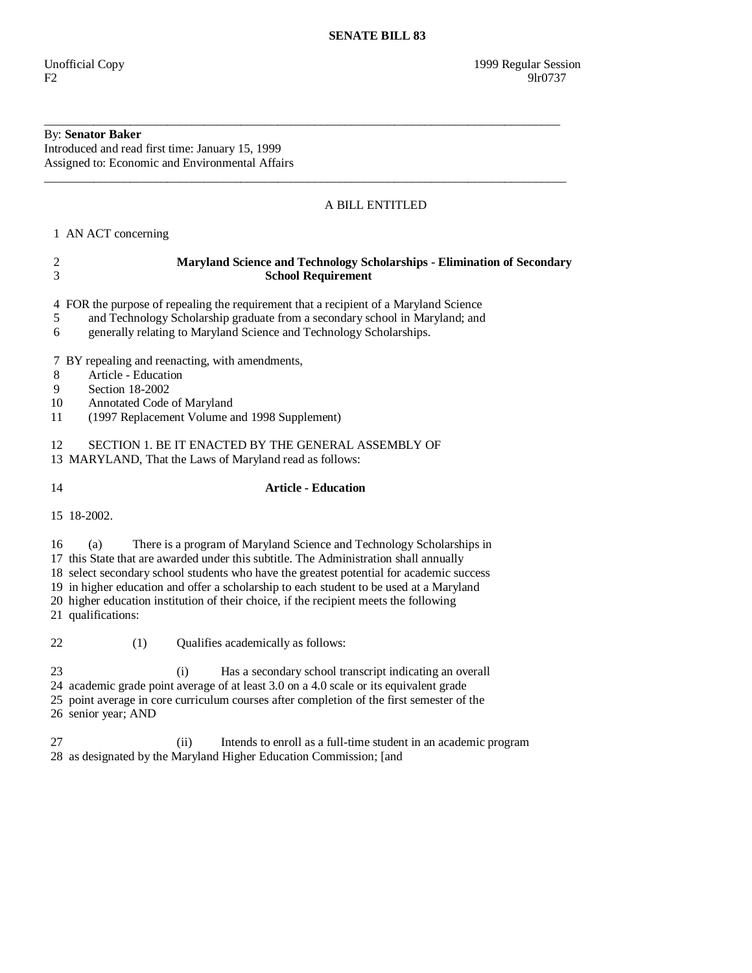## By: **Senator Baker**

Introduced and read first time: January 15, 1999 Assigned to: Economic and Environmental Affairs

## A BILL ENTITLED

1 AN ACT concerning

| $\overline{\mathbf{c}}$<br>$\overline{3}$ | Maryland Science and Technology Scholarships - Elimination of Secondary<br><b>School Requirement</b>                                                                                                                                                                                                                                                                                                                                                                        |  |  |  |  |
|-------------------------------------------|-----------------------------------------------------------------------------------------------------------------------------------------------------------------------------------------------------------------------------------------------------------------------------------------------------------------------------------------------------------------------------------------------------------------------------------------------------------------------------|--|--|--|--|
| 5<br>6                                    | 4 FOR the purpose of repealing the requirement that a recipient of a Maryland Science<br>and Technology Scholarship graduate from a secondary school in Maryland; and<br>generally relating to Maryland Science and Technology Scholarships.                                                                                                                                                                                                                                |  |  |  |  |
| 8<br>9<br>10<br>11                        | 7 BY repealing and reenacting, with amendments,<br>Article - Education<br>Section 18-2002<br>Annotated Code of Maryland<br>(1997 Replacement Volume and 1998 Supplement)                                                                                                                                                                                                                                                                                                    |  |  |  |  |
| 12                                        | SECTION 1. BE IT ENACTED BY THE GENERAL ASSEMBLY OF<br>13 MARYLAND, That the Laws of Maryland read as follows:                                                                                                                                                                                                                                                                                                                                                              |  |  |  |  |
| 14                                        | <b>Article - Education</b>                                                                                                                                                                                                                                                                                                                                                                                                                                                  |  |  |  |  |
| 15 18-2002.                               |                                                                                                                                                                                                                                                                                                                                                                                                                                                                             |  |  |  |  |
| 16                                        | There is a program of Maryland Science and Technology Scholarships in<br>(a)<br>17 this State that are awarded under this subtitle. The Administration shall annually<br>18 select secondary school students who have the greatest potential for academic success<br>19 in higher education and offer a scholarship to each student to be used at a Maryland<br>20 higher education institution of their choice, if the recipient meets the following<br>21 qualifications: |  |  |  |  |
| 22                                        | Qualifies academically as follows:<br>(1)                                                                                                                                                                                                                                                                                                                                                                                                                                   |  |  |  |  |
| 23                                        | Has a secondary school transcript indicating an overall<br>(i)<br>24 academic grade point average of at least 3.0 on a 4.0 scale or its equivalent grade<br>25 point average in core curriculum courses after completion of the first semester of the<br>26 senior year; AND                                                                                                                                                                                                |  |  |  |  |

\_\_\_\_\_\_\_\_\_\_\_\_\_\_\_\_\_\_\_\_\_\_\_\_\_\_\_\_\_\_\_\_\_\_\_\_\_\_\_\_\_\_\_\_\_\_\_\_\_\_\_\_\_\_\_\_\_\_\_\_\_\_\_\_\_\_\_\_\_\_\_\_\_\_\_\_\_\_\_\_\_\_\_\_

\_\_\_\_\_\_\_\_\_\_\_\_\_\_\_\_\_\_\_\_\_\_\_\_\_\_\_\_\_\_\_\_\_\_\_\_\_\_\_\_\_\_\_\_\_\_\_\_\_\_\_\_\_\_\_\_\_\_\_\_\_\_\_\_\_\_\_\_\_\_\_\_\_\_\_\_\_\_\_\_\_\_\_\_\_

 27 (ii) Intends to enroll as a full-time student in an academic program 28 as designated by the Maryland Higher Education Commission; [and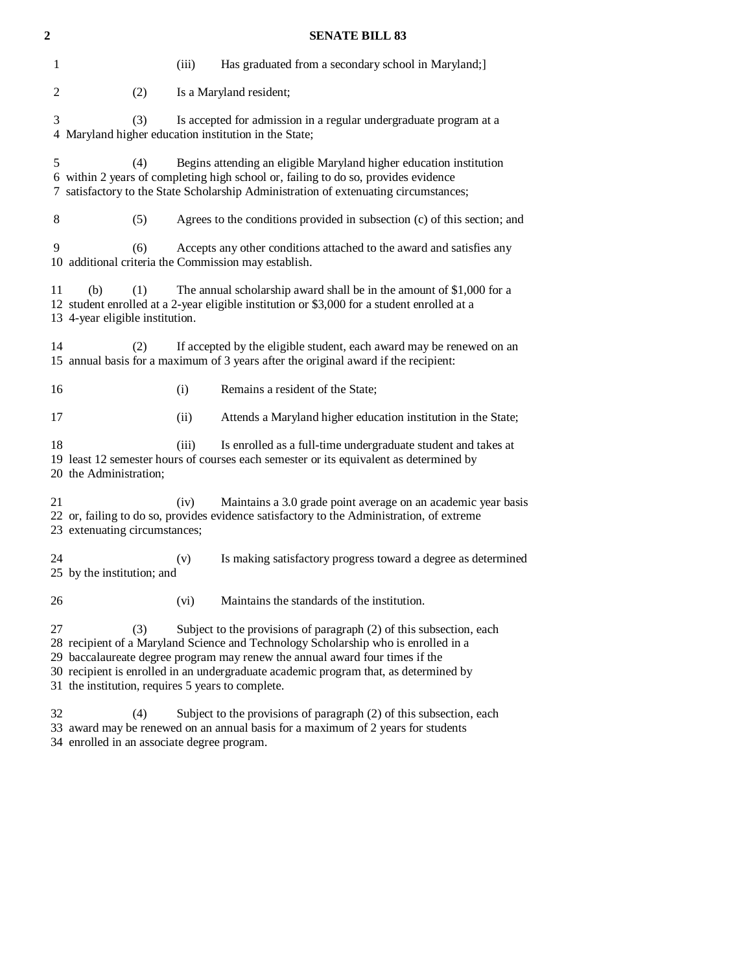| 2              | <b>SENATE BILL 83</b>                                        |                                                                                                                                                                                                                                                |                                                                                                                                                                                                                                                                                                                                   |  |  |
|----------------|--------------------------------------------------------------|------------------------------------------------------------------------------------------------------------------------------------------------------------------------------------------------------------------------------------------------|-----------------------------------------------------------------------------------------------------------------------------------------------------------------------------------------------------------------------------------------------------------------------------------------------------------------------------------|--|--|
| 1              |                                                              | (iii)                                                                                                                                                                                                                                          | Has graduated from a secondary school in Maryland;]                                                                                                                                                                                                                                                                               |  |  |
| $\overline{c}$ | (2)                                                          |                                                                                                                                                                                                                                                | Is a Maryland resident;                                                                                                                                                                                                                                                                                                           |  |  |
| 3              | (3)<br>4 Maryland higher education institution in the State; |                                                                                                                                                                                                                                                | Is accepted for admission in a regular undergraduate program at a                                                                                                                                                                                                                                                                 |  |  |
| 5<br>7         | (4)                                                          | Begins attending an eligible Maryland higher education institution<br>6 within 2 years of completing high school or, failing to do so, provides evidence<br>satisfactory to the State Scholarship Administration of extenuating circumstances; |                                                                                                                                                                                                                                                                                                                                   |  |  |
| 8              | (5)                                                          |                                                                                                                                                                                                                                                | Agrees to the conditions provided in subsection (c) of this section; and                                                                                                                                                                                                                                                          |  |  |
| 9              | (6)<br>10 additional criteria the Commission may establish.  |                                                                                                                                                                                                                                                | Accepts any other conditions attached to the award and satisfies any                                                                                                                                                                                                                                                              |  |  |
| 11             | (b)<br>(1)<br>13 4-year eligible institution.                |                                                                                                                                                                                                                                                | The annual scholarship award shall be in the amount of $$1,000$ for a<br>12 student enrolled at a 2-year eligible institution or \$3,000 for a student enrolled at a                                                                                                                                                              |  |  |
| 14             | (2)                                                          |                                                                                                                                                                                                                                                | If accepted by the eligible student, each award may be renewed on an<br>15 annual basis for a maximum of 3 years after the original award if the recipient:                                                                                                                                                                       |  |  |
| 16             |                                                              | (i)                                                                                                                                                                                                                                            | Remains a resident of the State;                                                                                                                                                                                                                                                                                                  |  |  |
| 17             |                                                              | (ii)                                                                                                                                                                                                                                           | Attends a Maryland higher education institution in the State;                                                                                                                                                                                                                                                                     |  |  |
| 18             | 20 the Administration;                                       | (iii)                                                                                                                                                                                                                                          | Is enrolled as a full-time undergraduate student and takes at<br>19 least 12 semester hours of courses each semester or its equivalent as determined by                                                                                                                                                                           |  |  |
| 21             | 23 extenuating circumstances;                                | (iv)                                                                                                                                                                                                                                           | Maintains a 3.0 grade point average on an academic year basis<br>22 or, failing to do so, provides evidence satisfactory to the Administration, of extreme                                                                                                                                                                        |  |  |
| 24             | 25 by the institution; and                                   | (v)                                                                                                                                                                                                                                            | Is making satisfactory progress toward a degree as determined                                                                                                                                                                                                                                                                     |  |  |
| 26             |                                                              | (vi)                                                                                                                                                                                                                                           | Maintains the standards of the institution.                                                                                                                                                                                                                                                                                       |  |  |
| 27             | (3)<br>31 the institution, requires 5 years to complete.     |                                                                                                                                                                                                                                                | Subject to the provisions of paragraph (2) of this subsection, each<br>28 recipient of a Maryland Science and Technology Scholarship who is enrolled in a<br>29 baccalaureate degree program may renew the annual award four times if the<br>30 recipient is enrolled in an undergraduate academic program that, as determined by |  |  |
| 32             | (4)                                                          |                                                                                                                                                                                                                                                | Subject to the provisions of paragraph (2) of this subsection, each<br>33 award may be renewed on an annual basis for a maximum of 2 years for students                                                                                                                                                                           |  |  |

34 enrolled in an associate degree program.